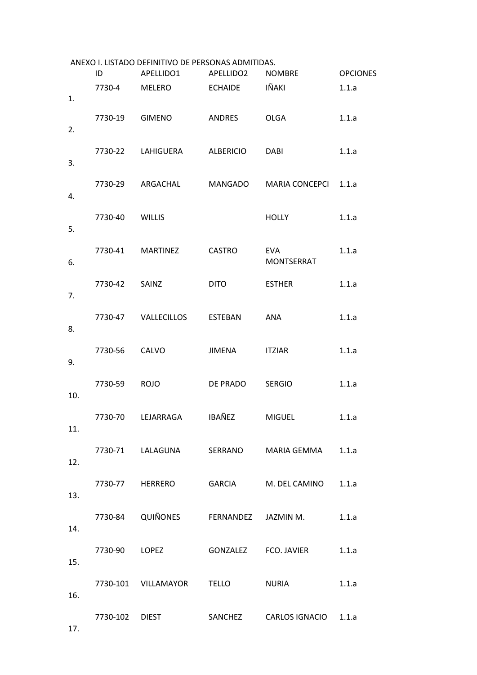| 7730-4<br>7730-19 | MELERO<br>GIMENO | ECHAIDE                                                                                          | IÑAKI                                                                                       | 1.1.a                                                                                                                                                                                                                 |
|-------------------|------------------|--------------------------------------------------------------------------------------------------|---------------------------------------------------------------------------------------------|-----------------------------------------------------------------------------------------------------------------------------------------------------------------------------------------------------------------------|
|                   |                  |                                                                                                  |                                                                                             |                                                                                                                                                                                                                       |
|                   |                  | ANDRES                                                                                           | <b>OLGA</b>                                                                                 | 1.1.a                                                                                                                                                                                                                 |
|                   |                  |                                                                                                  | DABI                                                                                        | 1.1.a                                                                                                                                                                                                                 |
|                   |                  |                                                                                                  | MARIA CONCEPCI                                                                              | 1.1.a                                                                                                                                                                                                                 |
| 7730-40           |                  |                                                                                                  | <b>HOLLY</b>                                                                                | 1.1.a                                                                                                                                                                                                                 |
|                   |                  | <b>CASTRO</b>                                                                                    | <b>EVA</b><br>MONTSERRAT                                                                    | 1.1.a                                                                                                                                                                                                                 |
|                   | SAINZ            | <b>DITO</b>                                                                                      | <b>ESTHER</b>                                                                               | 1.1.a                                                                                                                                                                                                                 |
|                   |                  |                                                                                                  | ANA                                                                                         | 1.1.a                                                                                                                                                                                                                 |
|                   | <b>CALVO</b>     | JIMENA                                                                                           | <b>ITZIAR</b>                                                                               | 1.1.a                                                                                                                                                                                                                 |
| 7730-59           | <b>ROJO</b>      |                                                                                                  | <b>SERGIO</b>                                                                               | 1.1.a                                                                                                                                                                                                                 |
|                   |                  |                                                                                                  | <b>MIGUEL</b>                                                                               | 1.1.a                                                                                                                                                                                                                 |
|                   |                  |                                                                                                  |                                                                                             |                                                                                                                                                                                                                       |
|                   |                  |                                                                                                  |                                                                                             |                                                                                                                                                                                                                       |
|                   |                  |                                                                                                  |                                                                                             | 1.1.a                                                                                                                                                                                                                 |
|                   |                  |                                                                                                  |                                                                                             |                                                                                                                                                                                                                       |
|                   |                  |                                                                                                  |                                                                                             | 1.1.a                                                                                                                                                                                                                 |
|                   |                  |                                                                                                  |                                                                                             |                                                                                                                                                                                                                       |
|                   |                  | 7730-22 LAHIGUERA<br>7730-29 ARGACHAL<br><b>WILLIS</b><br>7730-41 MARTINEZ<br>7730-42<br>7730-56 | ALBERICIO<br>7730-47 VALLECILLOS ESTEBAN<br>7730-70 LEJARRAGA IBAÑEZ<br>7730-101 VILLAMAYOR | MANGADO<br>DE PRADO<br>7730-71 LALAGUNA SERRANO MARIA GEMMA 1.1.a<br>7730-77 HERRERO GARCIA M. DEL CAMINO 1.1.a<br>7730-84 QUIÑONES FERNANDEZ JAZMIN M.<br>TELLO NURIA<br>7730-102 DIEST SANCHEZ CARLOS IGNACIO 1.1.a |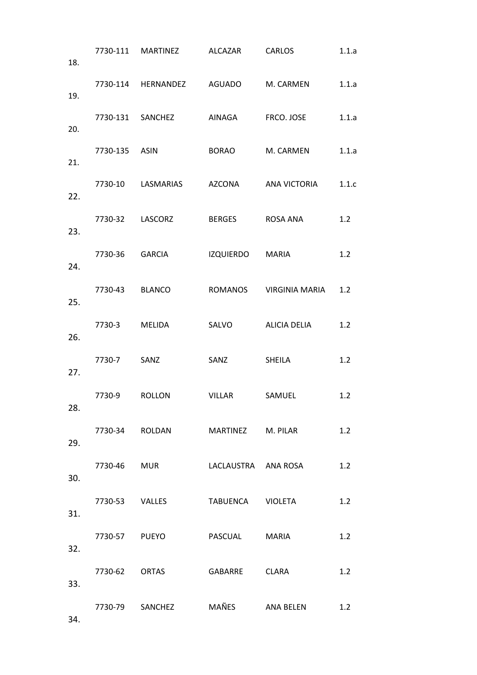| 18. |                | 7730-111 MARTINEZ ALCAZAR CARLOS    |                     |                                       | 1.1.a |
|-----|----------------|-------------------------------------|---------------------|---------------------------------------|-------|
| 19. |                | 7730-114 HERNANDEZ AGUADO M. CARMEN |                     |                                       | 1.1.a |
| 20. |                |                                     |                     | 7730-131 SANCHEZ AINAGA FRCO. JOSE    | 1.1.a |
| 21. | 7730-135 ASIN  |                                     | BORAO M. CARMEN     |                                       | 1.1.a |
| 22. |                |                                     |                     | 7730-10 LASMARIAS AZCONA ANA VICTORIA | 1.1.c |
|     |                | 7730-32 LASCORZ                     | BERGES ROSA ANA     |                                       | 1.2   |
| 23. | 7730-36 GARCIA |                                     | IZQUIERDO MARIA     |                                       | 1.2   |
| 24. | 7730-43 BLANCO |                                     |                     | ROMANOS VIRGINIA MARIA                | 1.2   |
| 25. | 7730-3 MELIDA  |                                     | SALVO               | ALICIA DELIA                          | 1.2   |
| 26. | 7730-7 SANZ    |                                     | SANZ                | SHEILA                                | 1.2   |
| 27. | 7730-9 ROLLON  |                                     | <b>VILLAR</b>       | SAMUEL                                | 1.2   |
| 28. |                |                                     |                     |                                       |       |
| 29. |                | 7730-34 ROLDAN                      | MARTINEZ M. PILAR   |                                       | 1.2   |
| 30. |                | 7730-46 MUR                         | LACLAUSTRA ANA ROSA |                                       | 1.2   |
| 31. |                | 7730-53 VALLES                      | TABUENCA VIOLETA    |                                       | 1.2   |
| 32. | 7730-57 PUEYO  |                                     | PASCUAL MARIA       |                                       | 1.2   |
| 33. | 7730-62 ORTAS  |                                     | GABARRE CLARA       |                                       | 1.2   |
| 34. |                | 7730-79 SANCHEZ MAÑES ANA BELEN     |                     |                                       | 1.2   |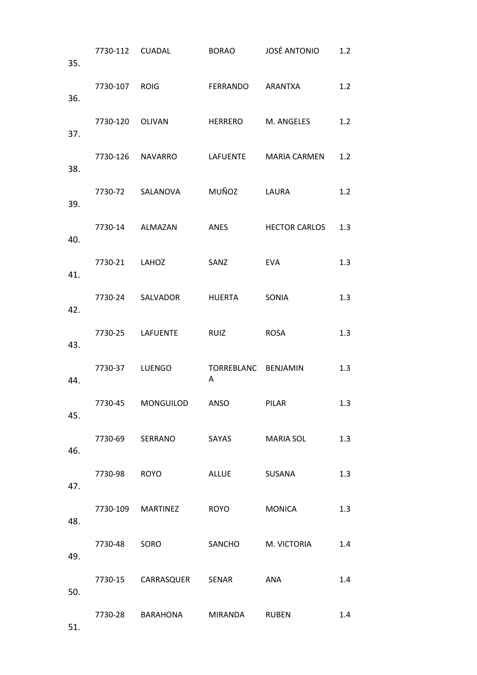| 35. |                |                                |                          | 7730-112 CUADAL BORAO JOSÉ ANTONIO     | 1.2 |
|-----|----------------|--------------------------------|--------------------------|----------------------------------------|-----|
| 36. |                | 7730-107 ROIG FERRANDO ARANTXA |                          |                                        | 1.2 |
| 37. |                |                                |                          | 7730-120 OLIVAN HERRERO M. ANGELES     | 1.2 |
| 38. |                |                                |                          | 7730-126 NAVARRO LAFUENTE MARIA CARMEN | 1.2 |
| 39. |                | 7730-72 SALANOVA MUÑOZ LAURA   |                          |                                        | 1.2 |
| 40. |                | 7730-14 ALMAZAN                |                          | ANES HECTOR CARLOS                     | 1.3 |
| 41. | 7730-21 LAHOZ  |                                | SANZ                     | <b>EVA</b>                             | 1.3 |
| 42. |                | 7730-24 SALVADOR HUERTA SONIA  |                          |                                        | 1.3 |
| 43. |                | 7730-25 LAFUENTE RUIZ          |                          | ROSA                                   | 1.3 |
| 44. | 7730-37 LUENGO |                                | TORREBLANC BENJAMIN<br>A |                                        | 1.3 |
| 45. |                | 7730-45 MONGUILOD ANSO PILAR   |                          |                                        | 1.3 |
| 46. |                |                                |                          | 7730-69 SERRANO SAYAS MARIA SOL        | 1.3 |
| 47. | 7730-98 ROYO   |                                | ALLUE SUSANA             |                                        | 1.3 |
| 48. |                | 7730-109 MARTINEZ ROYO         |                          | MONICA                                 | 1.3 |
| 49. | 7730-48 SORO   |                                |                          | SANCHO M. VICTORIA                     | 1.4 |
| 50. |                | 7730-15 CARRASQUER SENAR ANA   |                          |                                        | 1.4 |
| 51. |                | 7730-28 BARAHONA MIRANDA RUBEN |                          |                                        | 1.4 |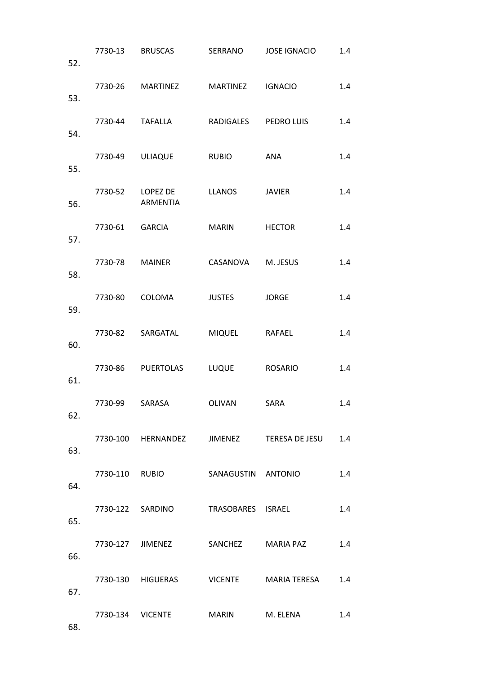| 52. |                |                                            |                     | 7730-13 BRUSCAS SERRANO JOSE IGNACIO          | 1.4 |
|-----|----------------|--------------------------------------------|---------------------|-----------------------------------------------|-----|
| 53. |                | 7730-26 MARTINEZ MARTINEZ IGNACIO          |                     |                                               | 1.4 |
| 54. |                | 7730-44 TAFALLA RADIGALES PEDROLUIS        |                     |                                               | 1.4 |
| 55. |                | 7730-49 ULIAQUE RUBIO                      |                     | ANA                                           | 1.4 |
| 56. |                | 7730-52 LOPEZ DE LLANOS JAVIER<br>ARMENTIA |                     |                                               | 1.4 |
| 57. |                | 7730-61 GARCIA                             | MARIN HECTOR        |                                               | 1.4 |
| 58. | 7730-78 MAINER |                                            | CASANOVA M. JESUS   |                                               | 1.4 |
| 59. |                | 7730-80 COLOMA                             | <b>JUSTES JORGE</b> |                                               | 1.4 |
| 60. |                | 7730-82 SARGATAL MIQUEL RAFAEL             |                     |                                               | 1.4 |
| 61. |                | 7730-86 PUERTOLAS LUQUE ROSARIO            |                     |                                               | 1.4 |
| 62. |                | 7730-99 SARASA   OLIVAN   SARA             |                     |                                               | 1.4 |
| 63. |                |                                            |                     | 7730-100 HERNANDEZ JIMENEZ TERESA DE JESU 1.4 |     |
| 64. |                | 7730-110 RUBIO SANAGUSTIN ANTONIO          |                     |                                               | 1.4 |
| 65. |                | 7730-122 SARDINO TRASOBARES ISRAEL         |                     |                                               | 1.4 |
| 66. |                |                                            |                     | 7730-127 JIMENEZ SANCHEZ MARIA PAZ            | 1.4 |
| 67. |                |                                            |                     | 7730-130 HIGUERAS VICENTE MARIA TERESA 1.4    |     |
| 68. |                | 7730-134 VICENTE MARIN M. ELENA            |                     |                                               | 1.4 |